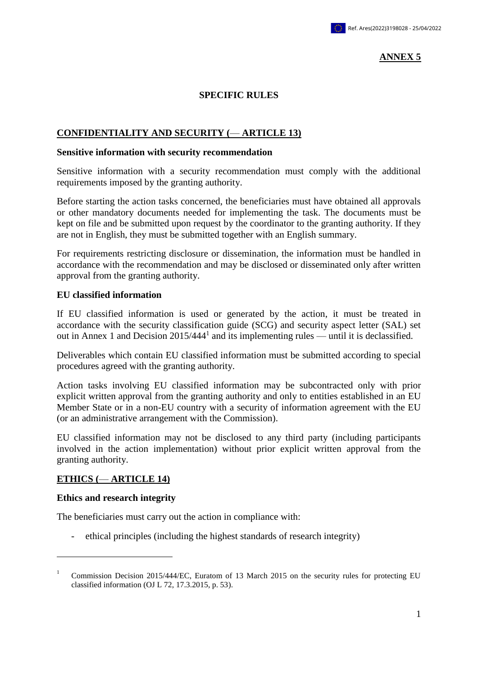## **ANNEX 5**

### **SPECIFIC RULES**

## **CONFIDENTIALITY AND SECURITY (**— **ARTICLE 13)**

#### **Sensitive information with security recommendation**

Sensitive information with a security recommendation must comply with the additional requirements imposed by the granting authority.

Before starting the action tasks concerned, the beneficiaries must have obtained all approvals or other mandatory documents needed for implementing the task. The documents must be kept on file and be submitted upon request by the coordinator to the granting authority. If they are not in English, they must be submitted together with an English summary.

For requirements restricting disclosure or dissemination, the information must be handled in accordance with the recommendation and may be disclosed or disseminated only after written approval from the granting authority.

#### **EU classified information**

If EU classified information is used or generated by the action, it must be treated in accordance with the security classification guide (SCG) and security aspect letter (SAL) set out in Annex 1 and Decision  $2015/444<sup>1</sup>$  and its implementing rules — until it is declassified.

Deliverables which contain EU classified information must be submitted according to special procedures agreed with the granting authority.

Action tasks involving EU classified information may be subcontracted only with prior explicit written approval from the granting authority and only to entities established in an EU Member State or in a non-EU country with a security of information agreement with the EU (or an administrative arrangement with the Commission).

EU classified information may not be disclosed to any third party (including participants involved in the action implementation) without prior explicit written approval from the granting authority.

# **ETHICS (**— **ARTICLE 14)**

#### **Ethics and research integrity**

1

The beneficiaries must carry out the action in compliance with:

- ethical principles (including the highest standards of research integrity)

<sup>1</sup> Commission Decision 2015/444/EC, Euratom of 13 March 2015 on the security rules for protecting EU classified information (OJ L 72, 17.3.2015, p. 53).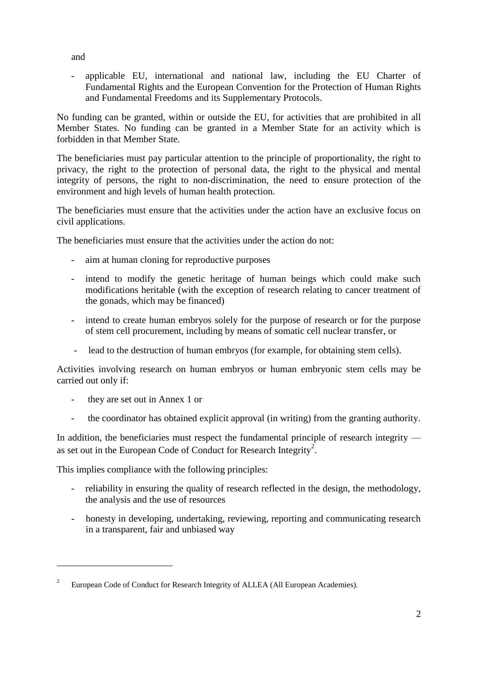and

- applicable EU, international and national law, including the EU Charter of Fundamental Rights and the European Convention for the Protection of Human Rights and Fundamental Freedoms and its Supplementary Protocols.

No funding can be granted, within or outside the EU, for activities that are prohibited in all Member States. No funding can be granted in a Member State for an activity which is forbidden in that Member State.

The beneficiaries must pay particular attention to the principle of proportionality, the right to privacy, the right to the protection of personal data, the right to the physical and mental integrity of persons, the right to non-discrimination, the need to ensure protection of the environment and high levels of human health protection.

The beneficiaries must ensure that the activities under the action have an exclusive focus on civil applications.

The beneficiaries must ensure that the activities under the action do not:

- aim at human cloning for reproductive purposes
- intend to modify the genetic heritage of human beings which could make such modifications heritable (with the exception of research relating to cancer treatment of the gonads, which may be financed)
- intend to create human embryos solely for the purpose of research or for the purpose of stem cell procurement, including by means of somatic cell nuclear transfer, or
- lead to the destruction of human embryos (for example, for obtaining stem cells).

Activities involving research on human embryos or human embryonic stem cells may be carried out only if:

- they are set out in Annex 1 or

<u>.</u>

- the coordinator has obtained explicit approval (in writing) from the granting authority.

In addition, the beneficiaries must respect the fundamental principle of research integrity as set out in the European Code of Conduct for Research Integrity<sup>2</sup>.

This implies compliance with the following principles:

- reliability in ensuring the quality of research reflected in the design, the methodology, the analysis and the use of resources
- honesty in developing, undertaking, reviewing, reporting and communicating research in a transparent, fair and unbiased way

<sup>2</sup> European Code of Conduct for Research Integrity of ALLEA (All European Academies).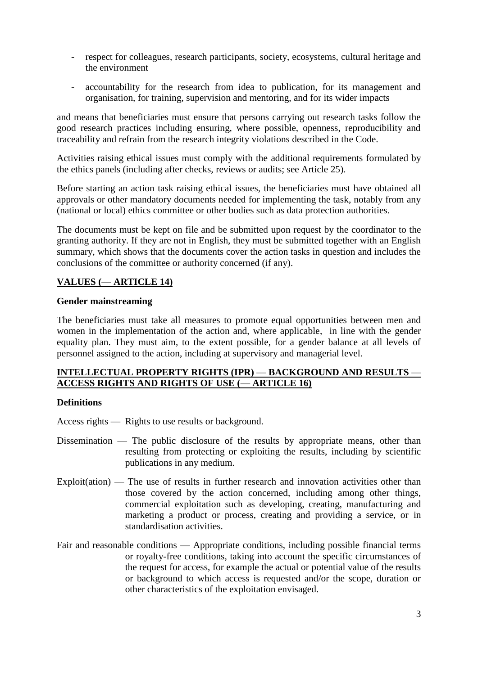- respect for colleagues, research participants, society, ecosystems, cultural heritage and the environment
- accountability for the research from idea to publication, for its management and organisation, for training, supervision and mentoring, and for its wider impacts

and means that beneficiaries must ensure that persons carrying out research tasks follow the good research practices including ensuring, where possible, openness, reproducibility and traceability and refrain from the research integrity violations described in the Code.

Activities raising ethical issues must comply with the additional requirements formulated by the ethics panels (including after checks, reviews or audits; see Article 25).

Before starting an action task raising ethical issues, the beneficiaries must have obtained all approvals or other mandatory documents needed for implementing the task, notably from any (national or local) ethics committee or other bodies such as data protection authorities.

The documents must be kept on file and be submitted upon request by the coordinator to the granting authority. If they are not in English, they must be submitted together with an English summary, which shows that the documents cover the action tasks in question and includes the conclusions of the committee or authority concerned (if any).

# **VALUES (**— **ARTICLE 14)**

## **Gender mainstreaming**

The beneficiaries must take all measures to promote equal opportunities between men and women in the implementation of the action and, where applicable, in line with the gender equality plan. They must aim, to the extent possible, for a gender balance at all levels of personnel assigned to the action, including at supervisory and managerial level.

## **INTELLECTUAL PROPERTY RIGHTS (IPR)** — **BACKGROUND AND RESULTS** — **ACCESS RIGHTS AND RIGHTS OF USE (**— **ARTICLE 16)**

# **Definitions**

Access rights — Rights to use results or background.

- Dissemination The public disclosure of the results by appropriate means, other than resulting from protecting or exploiting the results, including by scientific publications in any medium.
- Exploit(ation) The use of results in further research and innovation activities other than those covered by the action concerned, including among other things, commercial exploitation such as developing, creating, manufacturing and marketing a product or process, creating and providing a service, or in standardisation activities.
- Fair and reasonable conditions Appropriate conditions, including possible financial terms or royalty-free conditions, taking into account the specific circumstances of the request for access, for example the actual or potential value of the results or background to which access is requested and/or the scope, duration or other characteristics of the exploitation envisaged.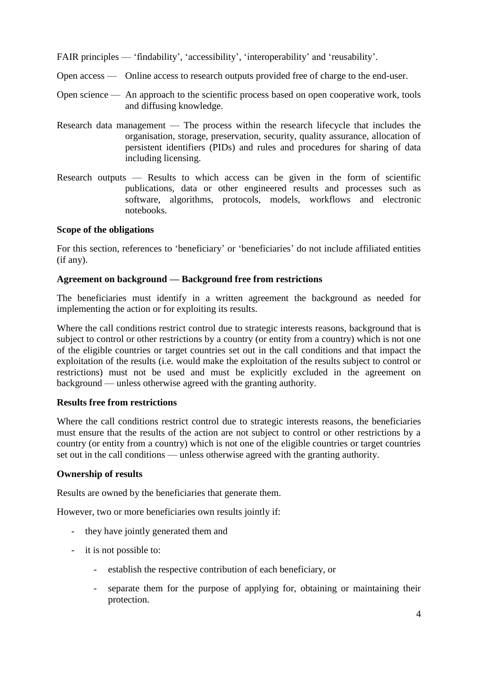FAIR principles — 'findability', 'accessibility', 'interoperability' and 'reusability'.

- Open access Online access to research outputs provided free of charge to the end-user.
- Open science An approach to the scientific process based on open cooperative work, tools and diffusing knowledge.
- Research data management The process within the research lifecycle that includes the organisation, storage, preservation, security, quality assurance, allocation of persistent identifiers (PIDs) and rules and procedures for sharing of data including licensing.
- Research outputs Results to which access can be given in the form of scientific publications, data or other engineered results and processes such as software, algorithms, protocols, models, workflows and electronic notebooks.

### **Scope of the obligations**

For this section, references to 'beneficiary' or 'beneficiaries' do not include affiliated entities (if any).

### **Agreement on background — Background free from restrictions**

The beneficiaries must identify in a written agreement the background as needed for implementing the action or for exploiting its results.

Where the call conditions restrict control due to strategic interests reasons, background that is subject to control or other restrictions by a country (or entity from a country) which is not one of the eligible countries or target countries set out in the call conditions and that impact the exploitation of the results (i.e. would make the exploitation of the results subject to control or restrictions) must not be used and must be explicitly excluded in the agreement on background — unless otherwise agreed with the granting authority.

### **Results free from restrictions**

Where the call conditions restrict control due to strategic interests reasons, the beneficiaries must ensure that the results of the action are not subject to control or other restrictions by a country (or entity from a country) which is not one of the eligible countries or target countries set out in the call conditions — unless otherwise agreed with the granting authority.

### **Ownership of results**

Results are owned by the beneficiaries that generate them.

However, two or more beneficiaries own results jointly if:

- they have jointly generated them and
- it is not possible to:
	- establish the respective contribution of each beneficiary, or
	- separate them for the purpose of applying for, obtaining or maintaining their protection.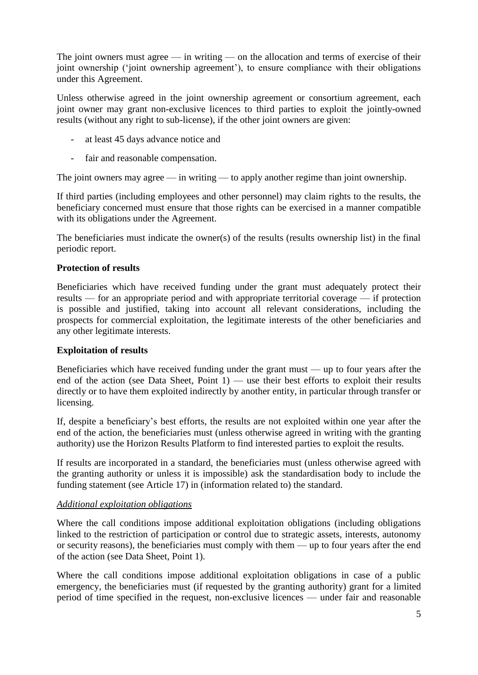The joint owners must agree — in writing — on the allocation and terms of exercise of their joint ownership ('joint ownership agreement'), to ensure compliance with their obligations under this Agreement.

Unless otherwise agreed in the joint ownership agreement or consortium agreement, each joint owner may grant non-exclusive licences to third parties to exploit the jointly-owned results (without any right to sub-license), if the other joint owners are given:

- at least 45 days advance notice and
- fair and reasonable compensation.

The joint owners may agree — in writing — to apply another regime than joint ownership.

If third parties (including employees and other personnel) may claim rights to the results, the beneficiary concerned must ensure that those rights can be exercised in a manner compatible with its obligations under the Agreement.

The beneficiaries must indicate the owner(s) of the results (results ownership list) in the final periodic report.

### **Protection of results**

Beneficiaries which have received funding under the grant must adequately protect their results — for an appropriate period and with appropriate territorial coverage — if protection is possible and justified, taking into account all relevant considerations, including the prospects for commercial exploitation, the legitimate interests of the other beneficiaries and any other legitimate interests.

### **Exploitation of results**

Beneficiaries which have received funding under the grant must — up to four years after the end of the action (see Data Sheet, Point  $1$ ) — use their best efforts to exploit their results directly or to have them exploited indirectly by another entity, in particular through transfer or licensing.

If, despite a beneficiary's best efforts, the results are not exploited within one year after the end of the action, the beneficiaries must (unless otherwise agreed in writing with the granting authority) use the Horizon Results Platform to find interested parties to exploit the results.

If results are incorporated in a standard, the beneficiaries must (unless otherwise agreed with the granting authority or unless it is impossible) ask the standardisation body to include the funding statement (see Article 17) in (information related to) the standard.

# *Additional exploitation obligations*

Where the call conditions impose additional exploitation obligations (including obligations linked to the restriction of participation or control due to strategic assets, interests, autonomy or security reasons), the beneficiaries must comply with them — up to four years after the end of the action (see Data Sheet, Point 1).

Where the call conditions impose additional exploitation obligations in case of a public emergency, the beneficiaries must (if requested by the granting authority) grant for a limited period of time specified in the request, non-exclusive licences — under fair and reasonable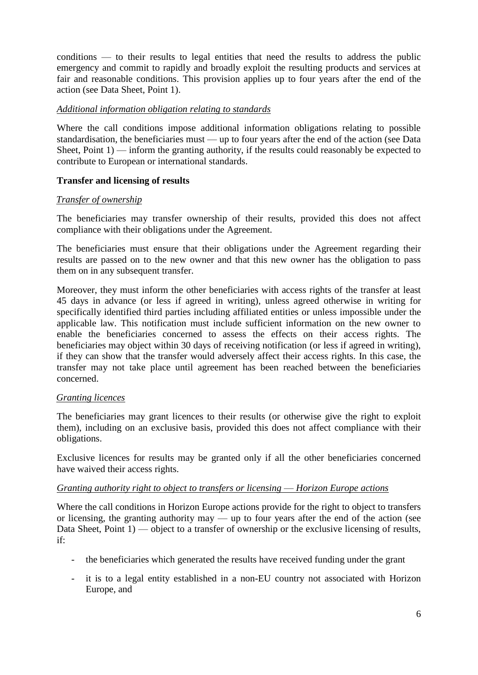conditions — to their results to legal entities that need the results to address the public emergency and commit to rapidly and broadly exploit the resulting products and services at fair and reasonable conditions. This provision applies up to four years after the end of the action (see Data Sheet, Point 1).

## *Additional information obligation relating to standards*

Where the call conditions impose additional information obligations relating to possible standardisation, the beneficiaries must — up to four years after the end of the action (see Data Sheet, Point  $1$ ) — inform the granting authority, if the results could reasonably be expected to contribute to European or international standards.

## **Transfer and licensing of results**

## *Transfer of ownership*

The beneficiaries may transfer ownership of their results, provided this does not affect compliance with their obligations under the Agreement.

The beneficiaries must ensure that their obligations under the Agreement regarding their results are passed on to the new owner and that this new owner has the obligation to pass them on in any subsequent transfer.

Moreover, they must inform the other beneficiaries with access rights of the transfer at least 45 days in advance (or less if agreed in writing), unless agreed otherwise in writing for specifically identified third parties including affiliated entities or unless impossible under the applicable law. This notification must include sufficient information on the new owner to enable the beneficiaries concerned to assess the effects on their access rights. The beneficiaries may object within 30 days of receiving notification (or less if agreed in writing), if they can show that the transfer would adversely affect their access rights. In this case, the transfer may not take place until agreement has been reached between the beneficiaries concerned.

### *Granting licences*

The beneficiaries may grant licences to their results (or otherwise give the right to exploit them), including on an exclusive basis, provided this does not affect compliance with their obligations.

Exclusive licences for results may be granted only if all the other beneficiaries concerned have waived their access rights.

### *Granting authority right to object to transfers or licensing* — *Horizon Europe actions*

Where the call conditions in Horizon Europe actions provide for the right to object to transfers or licensing, the granting authority may — up to four years after the end of the action (see Data Sheet, Point 1) — object to a transfer of ownership or the exclusive licensing of results, if:

- the beneficiaries which generated the results have received funding under the grant
- it is to a legal entity established in a non-EU country not associated with Horizon Europe, and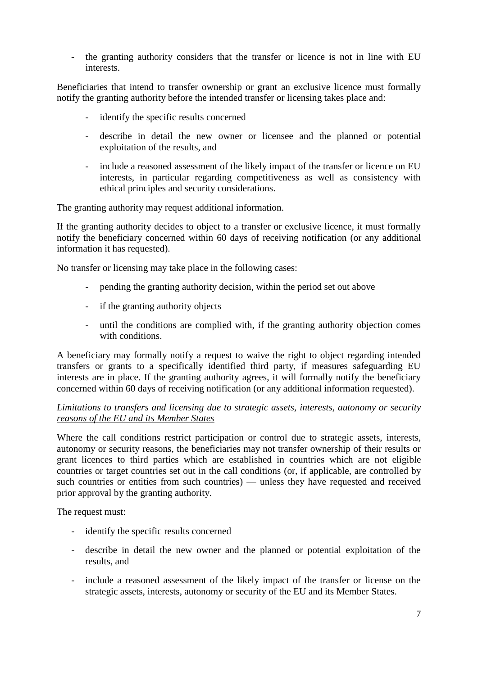- the granting authority considers that the transfer or licence is not in line with EU interests.

Beneficiaries that intend to transfer ownership or grant an exclusive licence must formally notify the granting authority before the intended transfer or licensing takes place and:

- identify the specific results concerned
- describe in detail the new owner or licensee and the planned or potential exploitation of the results, and
- include a reasoned assessment of the likely impact of the transfer or licence on EU interests, in particular regarding competitiveness as well as consistency with ethical principles and security considerations.

The granting authority may request additional information.

If the granting authority decides to object to a transfer or exclusive licence, it must formally notify the beneficiary concerned within 60 days of receiving notification (or any additional information it has requested).

No transfer or licensing may take place in the following cases:

- pending the granting authority decision, within the period set out above
- if the granting authority objects
- until the conditions are complied with, if the granting authority objection comes with conditions.

A beneficiary may formally notify a request to waive the right to object regarding intended transfers or grants to a specifically identified third party, if measures safeguarding EU interests are in place. If the granting authority agrees, it will formally notify the beneficiary concerned within 60 days of receiving notification (or any additional information requested).

*Limitations to transfers and licensing due to strategic assets, interests, autonomy or security reasons of the EU and its Member States*

Where the call conditions restrict participation or control due to strategic assets, interests, autonomy or security reasons, the beneficiaries may not transfer ownership of their results or grant licences to third parties which are established in countries which are not eligible countries or target countries set out in the call conditions (or, if applicable, are controlled by such countries or entities from such countries) — unless they have requested and received prior approval by the granting authority.

The request must:

- identify the specific results concerned
- describe in detail the new owner and the planned or potential exploitation of the results, and
- include a reasoned assessment of the likely impact of the transfer or license on the strategic assets, interests, autonomy or security of the EU and its Member States.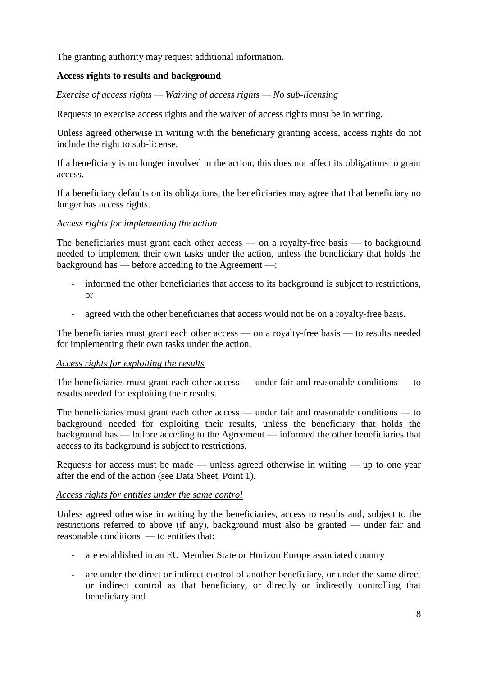The granting authority may request additional information.

# **Access rights to results and background**

### *Exercise of access rights — Waiving of access rights — No sub-licensing*

Requests to exercise access rights and the waiver of access rights must be in writing.

Unless agreed otherwise in writing with the beneficiary granting access, access rights do not include the right to sub-license.

If a beneficiary is no longer involved in the action, this does not affect its obligations to grant access.

If a beneficiary defaults on its obligations, the beneficiaries may agree that that beneficiary no longer has access rights.

### *Access rights for implementing the action*

The beneficiaries must grant each other access — on a royalty-free basis — to background needed to implement their own tasks under the action, unless the beneficiary that holds the background has — before acceding to the Agreement —:

- informed the other beneficiaries that access to its background is subject to restrictions, or
- agreed with the other beneficiaries that access would not be on a royalty-free basis.

The beneficiaries must grant each other access — on a royalty-free basis — to results needed for implementing their own tasks under the action.

### *Access rights for exploiting the results*

The beneficiaries must grant each other access — under fair and reasonable conditions — to results needed for exploiting their results.

The beneficiaries must grant each other access — under fair and reasonable conditions — to background needed for exploiting their results, unless the beneficiary that holds the background has — before acceding to the Agreement — informed the other beneficiaries that access to its background is subject to restrictions.

Requests for access must be made — unless agreed otherwise in writing — up to one year after the end of the action (see Data Sheet, Point 1).

### *Access rights for entities under the same control*

Unless agreed otherwise in writing by the beneficiaries, access to results and, subject to the restrictions referred to above (if any), background must also be granted — under fair and reasonable conditions — to entities that:

- are established in an EU Member State or Horizon Europe associated country
- are under the direct or indirect control of another beneficiary, or under the same direct or indirect control as that beneficiary, or directly or indirectly controlling that beneficiary and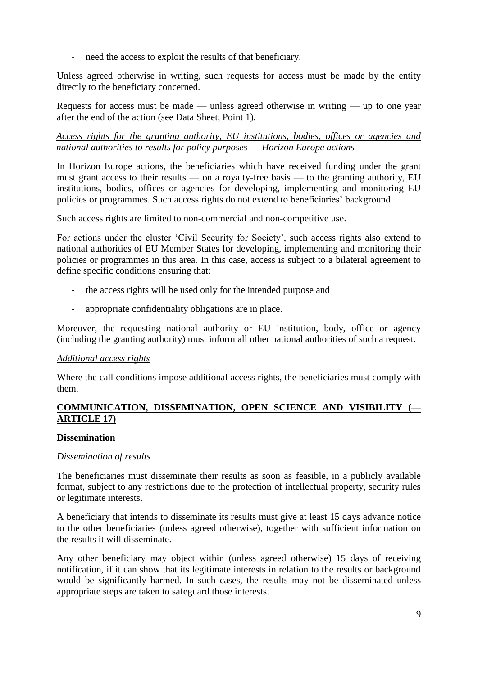- need the access to exploit the results of that beneficiary.

Unless agreed otherwise in writing, such requests for access must be made by the entity directly to the beneficiary concerned.

Requests for access must be made — unless agreed otherwise in writing — up to one year after the end of the action (see Data Sheet, Point 1).

*Access rights for the granting authority, EU institutions, bodies, offices or agencies and national authorities to results for policy purposes* — *Horizon Europe actions*

In Horizon Europe actions, the beneficiaries which have received funding under the grant must grant access to their results — on a royalty-free basis — to the granting authority, EU institutions, bodies, offices or agencies for developing, implementing and monitoring EU policies or programmes. Such access rights do not extend to beneficiaries' background.

Such access rights are limited to non-commercial and non-competitive use.

For actions under the cluster 'Civil Security for Society', such access rights also extend to national authorities of EU Member States for developing, implementing and monitoring their policies or programmes in this area. In this case, access is subject to a bilateral agreement to define specific conditions ensuring that:

- **-** the access rights will be used only for the intended purpose and
- **-** appropriate confidentiality obligations are in place.

Moreover, the requesting national authority or EU institution, body, office or agency (including the granting authority) must inform all other national authorities of such a request.

### *Additional access rights*

Where the call conditions impose additional access rights, the beneficiaries must comply with them.

# **COMMUNICATION, DISSEMINATION, OPEN SCIENCE AND VISIBILITY (**— **ARTICLE 17)**

### **Dissemination**

### *Dissemination of results*

The beneficiaries must disseminate their results as soon as feasible, in a publicly available format, subject to any restrictions due to the protection of intellectual property, security rules or legitimate interests.

A beneficiary that intends to disseminate its results must give at least 15 days advance notice to the other beneficiaries (unless agreed otherwise), together with sufficient information on the results it will disseminate.

Any other beneficiary may object within (unless agreed otherwise) 15 days of receiving notification, if it can show that its legitimate interests in relation to the results or background would be significantly harmed. In such cases, the results may not be disseminated unless appropriate steps are taken to safeguard those interests.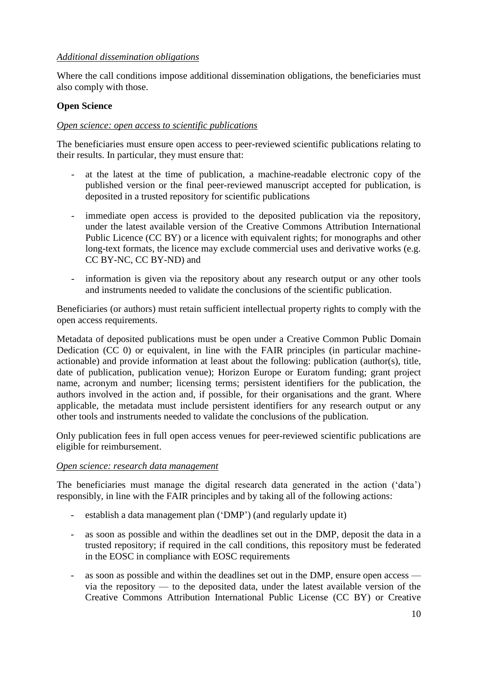# *Additional dissemination obligations*

Where the call conditions impose additional dissemination obligations, the beneficiaries must also comply with those.

# **Open Science**

# *Open science: open access to scientific publications*

The beneficiaries must ensure open access to peer-reviewed scientific publications relating to their results. In particular, they must ensure that:

- at the latest at the time of publication, a machine-readable electronic copy of the published version or the final peer-reviewed manuscript accepted for publication, is deposited in a trusted repository for scientific publications
- immediate open access is provided to the deposited publication via the repository, under the latest available version of the Creative Commons Attribution International Public Licence (CC BY) or a licence with equivalent rights; for monographs and other long-text formats, the licence may exclude commercial uses and derivative works (e.g. CC BY-NC, CC BY-ND) and
- information is given via the repository about any research output or any other tools and instruments needed to validate the conclusions of the scientific publication.

Beneficiaries (or authors) must retain sufficient intellectual property rights to comply with the open access requirements.

Metadata of deposited publications must be open under a Creative Common Public Domain Dedication (CC 0) or equivalent, in line with the FAIR principles (in particular machineactionable) and provide information at least about the following: publication (author(s), title, date of publication, publication venue); Horizon Europe or Euratom funding; grant project name, acronym and number; licensing terms; persistent identifiers for the publication, the authors involved in the action and, if possible, for their organisations and the grant. Where applicable, the metadata must include persistent identifiers for any research output or any other tools and instruments needed to validate the conclusions of the publication.

Only publication fees in full open access venues for peer-reviewed scientific publications are eligible for reimbursement.

### *Open science: research data management*

The beneficiaries must manage the digital research data generated in the action ('data') responsibly, in line with the FAIR principles and by taking all of the following actions:

- establish a data management plan ('DMP') (and regularly update it)
- as soon as possible and within the deadlines set out in the DMP, deposit the data in a trusted repository; if required in the call conditions, this repository must be federated in the EOSC in compliance with EOSC requirements
- as soon as possible and within the deadlines set out in the DMP, ensure open access via the repository — to the deposited data, under the latest available version of the Creative Commons Attribution International Public License (CC BY) or Creative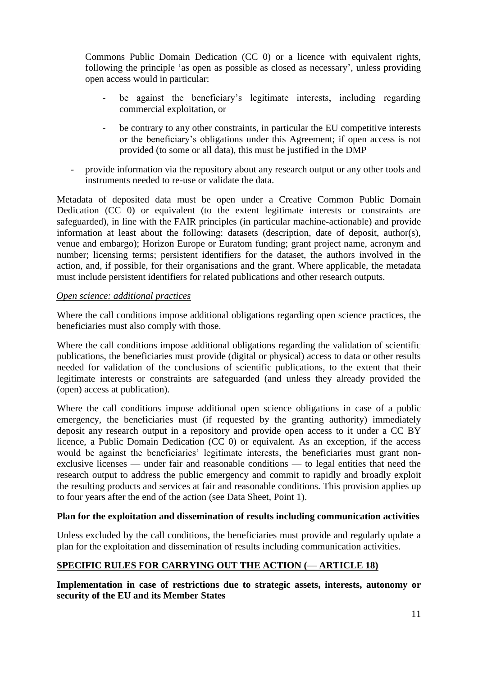Commons Public Domain Dedication (CC 0) or a licence with equivalent rights, following the principle 'as open as possible as closed as necessary', unless providing open access would in particular:

- be against the beneficiary's legitimate interests, including regarding commercial exploitation, or
- be contrary to any other constraints, in particular the EU competitive interests or the beneficiary's obligations under this Agreement; if open access is not provided (to some or all data), this must be justified in the DMP
- provide information via the repository about any research output or any other tools and instruments needed to re-use or validate the data.

Metadata of deposited data must be open under a Creative Common Public Domain Dedication (CC 0) or equivalent (to the extent legitimate interests or constraints are safeguarded), in line with the FAIR principles (in particular machine-actionable) and provide information at least about the following: datasets (description, date of deposit, author(s), venue and embargo); Horizon Europe or Euratom funding; grant project name, acronym and number; licensing terms; persistent identifiers for the dataset, the authors involved in the action, and, if possible, for their organisations and the grant. Where applicable, the metadata must include persistent identifiers for related publications and other research outputs.

## *Open science: additional practices*

Where the call conditions impose additional obligations regarding open science practices, the beneficiaries must also comply with those.

Where the call conditions impose additional obligations regarding the validation of scientific publications, the beneficiaries must provide (digital or physical) access to data or other results needed for validation of the conclusions of scientific publications, to the extent that their legitimate interests or constraints are safeguarded (and unless they already provided the (open) access at publication).

Where the call conditions impose additional open science obligations in case of a public emergency, the beneficiaries must (if requested by the granting authority) immediately deposit any research output in a repository and provide open access to it under a CC BY licence, a Public Domain Dedication (CC 0) or equivalent. As an exception, if the access would be against the beneficiaries' legitimate interests, the beneficiaries must grant nonexclusive licenses — under fair and reasonable conditions — to legal entities that need the research output to address the public emergency and commit to rapidly and broadly exploit the resulting products and services at fair and reasonable conditions. This provision applies up to four years after the end of the action (see Data Sheet, Point 1).

### **Plan for the exploitation and dissemination of results including communication activities**

Unless excluded by the call conditions, the beneficiaries must provide and regularly update a plan for the exploitation and dissemination of results including communication activities.

# **SPECIFIC RULES FOR CARRYING OUT THE ACTION (**— **ARTICLE 18)**

**Implementation in case of restrictions due to strategic assets, interests, autonomy or security of the EU and its Member States**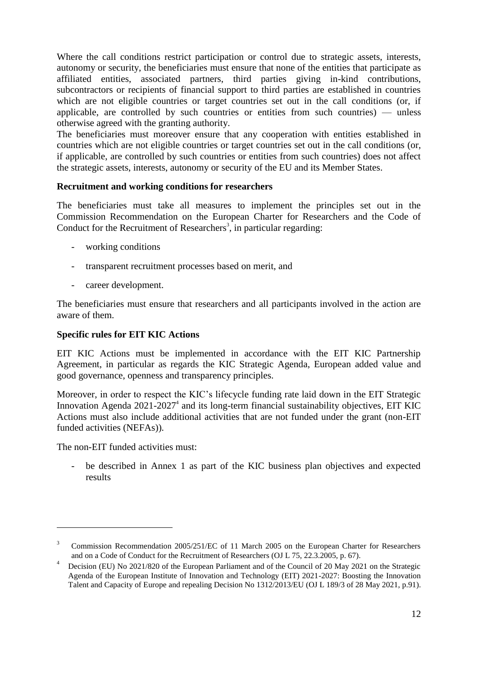Where the call conditions restrict participation or control due to strategic assets, interests, autonomy or security, the beneficiaries must ensure that none of the entities that participate as affiliated entities, associated partners, third parties giving in-kind contributions, subcontractors or recipients of financial support to third parties are established in countries which are not eligible countries or target countries set out in the call conditions (or, if applicable, are controlled by such countries or entities from such countries) — unless otherwise agreed with the granting authority.

The beneficiaries must moreover ensure that any cooperation with entities established in countries which are not eligible countries or target countries set out in the call conditions (or, if applicable, are controlled by such countries or entities from such countries) does not affect the strategic assets, interests, autonomy or security of the EU and its Member States.

## **Recruitment and working conditions for researchers**

The beneficiaries must take all measures to implement the principles set out in the Commission Recommendation on the European Charter for Researchers and the Code of Conduct for the Recruitment of Researchers<sup>3</sup>, in particular regarding:

- working conditions
- transparent recruitment processes based on merit, and
- career development.

The beneficiaries must ensure that researchers and all participants involved in the action are aware of them.

### **Specific rules for EIT KIC Actions**

EIT KIC Actions must be implemented in accordance with the EIT KIC Partnership Agreement, in particular as regards the KIC Strategic Agenda, European added value and good governance, openness and transparency principles.

Moreover, in order to respect the KIC's lifecycle funding rate laid down in the EIT Strategic Innovation Agenda  $2021-2027<sup>4</sup>$  and its long-term financial sustainability objectives, EIT KIC Actions must also include additional activities that are not funded under the grant (non-EIT funded activities (NEFAs)).

The non-EIT funded activities must:

<u>.</u>

be described in Annex 1 as part of the KIC business plan objectives and expected results

<sup>3</sup> Commission Recommendation 2005/251/EC of 11 March 2005 on the European Charter for Researchers and on a Code of Conduct for the Recruitment of Researchers (OJ L 75, 22.3.2005, p. 67).

<sup>4</sup> Decision (EU) No 2021/820 of the European Parliament and of the Council of 20 May 2021 on the Strategic Agenda of the European Institute of Innovation and Technology (EIT) 2021-2027: Boosting the Innovation Talent and Capacity of Europe and repealing Decision No 1312/2013/EU (OJ L 189/3 of 28 May 2021, p.91).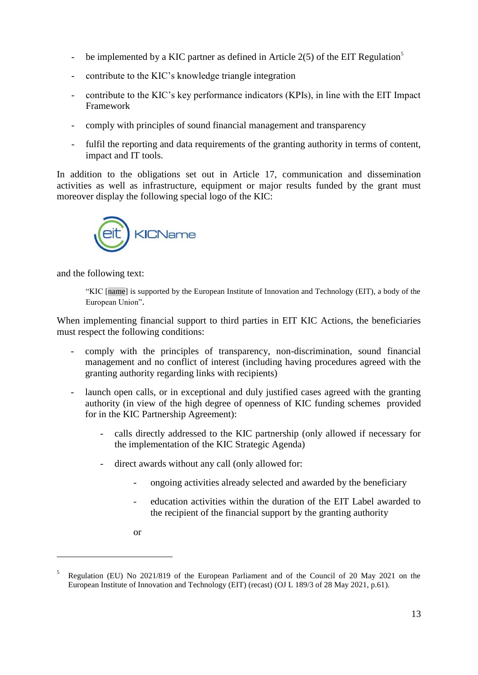- be implemented by a KIC partner as defined in Article  $2(5)$  of the EIT Regulation<sup>5</sup>
- contribute to the KIC's knowledge triangle integration
- contribute to the KIC's key performance indicators (KPIs), in line with the EIT Impact Framework
- comply with principles of sound financial management and transparency
- fulfil the reporting and data requirements of the granting authority in terms of content, impact and IT tools.

In addition to the obligations set out in Article 17, communication and dissemination activities as well as infrastructure, equipment or major results funded by the grant must moreover display the following special logo of the KIC:



and the following text:

"KIC [name] is supported by the European Institute of Innovation and Technology (EIT), a body of the European Union".

When implementing financial support to third parties in EIT KIC Actions, the beneficiaries must respect the following conditions:

- comply with the principles of transparency, non-discrimination, sound financial management and no conflict of interest (including having procedures agreed with the granting authority regarding links with recipients)
- launch open calls, or in exceptional and duly justified cases agreed with the granting authority (in view of the high degree of openness of KIC funding schemes provided for in the KIC Partnership Agreement):
	- calls directly addressed to the KIC partnership (only allowed if necessary for the implementation of the KIC Strategic Agenda)
	- direct awards without any call (only allowed for:
		- ongoing activities already selected and awarded by the beneficiary
		- education activities within the duration of the EIT Label awarded to the recipient of the financial support by the granting authority
		- or

1

<sup>5</sup> Regulation (EU) No 2021/819 of the European Parliament and of the Council of 20 May 2021 on the European Institute of Innovation and Technology (EIT) (recast) (OJ L 189/3 of 28 May 2021, p.61).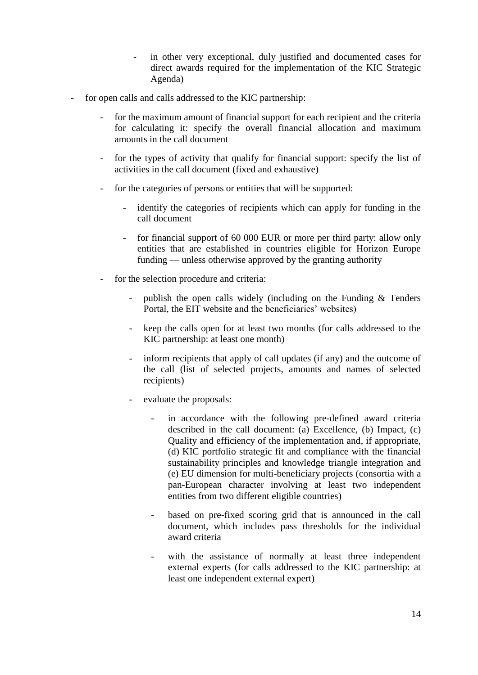- in other very exceptional, duly justified and documented cases for direct awards required for the implementation of the KIC Strategic Agenda)
- for open calls and calls addressed to the KIC partnership:
	- for the maximum amount of financial support for each recipient and the criteria for calculating it: specify the overall financial allocation and maximum amounts in the call document
	- for the types of activity that qualify for financial support: specify the list of activities in the call document (fixed and exhaustive)
	- for the categories of persons or entities that will be supported:
		- identify the categories of recipients which can apply for funding in the call document
		- for financial support of 60 000 EUR or more per third party: allow only entities that are established in countries eligible for Horizon Europe funding — unless otherwise approved by the granting authority
	- for the selection procedure and criteria:
		- publish the open calls widely (including on the Funding & Tenders Portal, the EIT website and the beneficiaries' websites)
		- keep the calls open for at least two months (for calls addressed to the KIC partnership: at least one month)
		- inform recipients that apply of call updates (if any) and the outcome of the call (list of selected projects, amounts and names of selected recipients)
		- evaluate the proposals:
			- in accordance with the following pre-defined award criteria described in the call document: (a) Excellence, (b) Impact, (c) Quality and efficiency of the implementation and, if appropriate, (d) KIC portfolio strategic fit and compliance with the financial sustainability principles and knowledge triangle integration and (e) EU dimension for multi-beneficiary projects (consortia with a pan-European character involving at least two independent entities from two different eligible countries)
			- based on pre-fixed scoring grid that is announced in the call document, which includes pass thresholds for the individual award criteria
			- with the assistance of normally at least three independent external experts (for calls addressed to the KIC partnership: at least one independent external expert)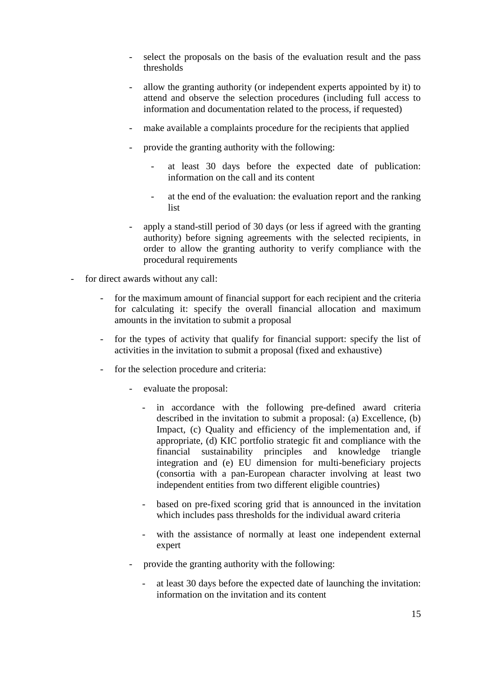- select the proposals on the basis of the evaluation result and the pass thresholds
- allow the granting authority (or independent experts appointed by it) to attend and observe the selection procedures (including full access to information and documentation related to the process, if requested)
- make available a complaints procedure for the recipients that applied
- provide the granting authority with the following:
	- at least 30 days before the expected date of publication: information on the call and its content
	- at the end of the evaluation: the evaluation report and the ranking list
- apply a stand-still period of 30 days (or less if agreed with the granting authority) before signing agreements with the selected recipients, in order to allow the granting authority to verify compliance with the procedural requirements
- for direct awards without any call:
	- for the maximum amount of financial support for each recipient and the criteria for calculating it: specify the overall financial allocation and maximum amounts in the invitation to submit a proposal
	- for the types of activity that qualify for financial support: specify the list of activities in the invitation to submit a proposal (fixed and exhaustive)
	- for the selection procedure and criteria:
		- evaluate the proposal:
			- in accordance with the following pre-defined award criteria described in the invitation to submit a proposal: (a) Excellence, (b) Impact, (c) Quality and efficiency of the implementation and, if appropriate, (d) KIC portfolio strategic fit and compliance with the financial sustainability principles and knowledge triangle integration and (e) EU dimension for multi-beneficiary projects (consortia with a pan-European character involving at least two independent entities from two different eligible countries)
			- based on pre-fixed scoring grid that is announced in the invitation which includes pass thresholds for the individual award criteria
			- with the assistance of normally at least one independent external expert
		- provide the granting authority with the following:
			- at least 30 days before the expected date of launching the invitation: information on the invitation and its content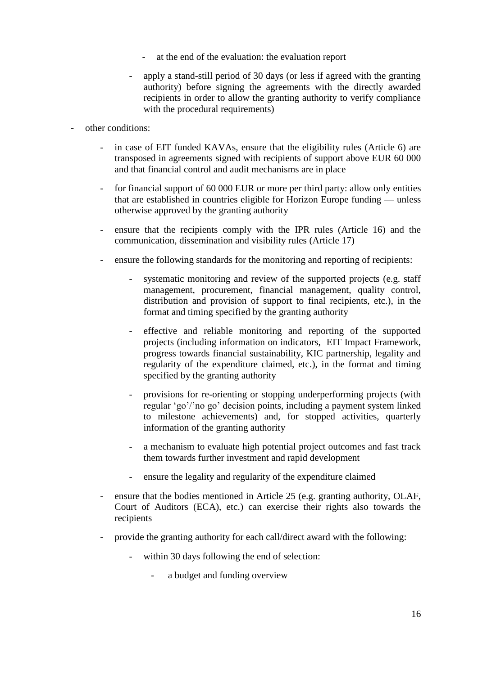- at the end of the evaluation: the evaluation report
- apply a stand-still period of 30 days (or less if agreed with the granting authority) before signing the agreements with the directly awarded recipients in order to allow the granting authority to verify compliance with the procedural requirements)
- other conditions:
	- in case of EIT funded KAVAs, ensure that the eligibility rules (Article 6) are transposed in agreements signed with recipients of support above EUR 60 000 and that financial control and audit mechanisms are in place
	- for financial support of 60 000 EUR or more per third party: allow only entities that are established in countries eligible for Horizon Europe funding — unless otherwise approved by the granting authority
	- ensure that the recipients comply with the IPR rules (Article 16) and the communication, dissemination and visibility rules (Article 17)
	- ensure the following standards for the monitoring and reporting of recipients:
		- systematic monitoring and review of the supported projects (e.g. staff management, procurement, financial management, quality control, distribution and provision of support to final recipients, etc.), in the format and timing specified by the granting authority
		- effective and reliable monitoring and reporting of the supported projects (including information on indicators, EIT Impact Framework, progress towards financial sustainability, KIC partnership, legality and regularity of the expenditure claimed, etc.), in the format and timing specified by the granting authority
		- provisions for re-orienting or stopping underperforming projects (with regular 'go'/'no go' decision points, including a payment system linked to milestone achievements) and, for stopped activities, quarterly information of the granting authority
		- a mechanism to evaluate high potential project outcomes and fast track them towards further investment and rapid development
		- ensure the legality and regularity of the expenditure claimed
	- ensure that the bodies mentioned in Article 25 (e.g. granting authority, OLAF, Court of Auditors (ECA), etc.) can exercise their rights also towards the recipients
	- provide the granting authority for each call/direct award with the following:
		- within 30 days following the end of selection:
			- a budget and funding overview